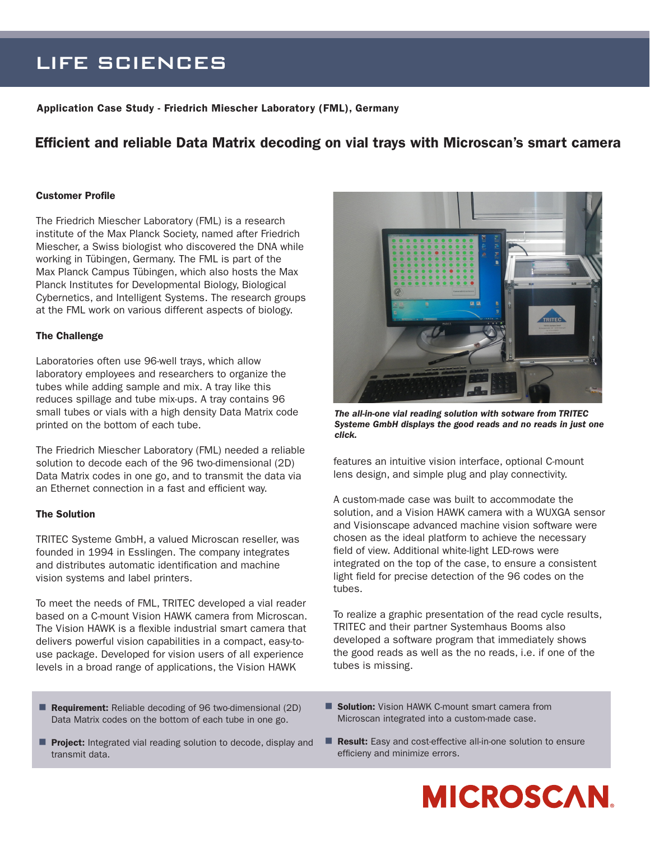## LIFE SCIENCES

Application Case Study - Friedrich Miescher Laboratory (FML), Germany

### Efficient and reliable Data Matrix decoding on vial trays with Microscan's smart camera

#### Customer Profile

The Friedrich Miescher Laboratory (FML) is a research institute of the Max Planck Society, named after Friedrich Miescher, a Swiss biologist who discovered the DNA while working in Tübingen, Germany. The FML is part of the Max Planck Campus Tübingen, which also hosts the Max Planck Institutes for Developmental Biology, Biological Cybernetics, and Intelligent Systems. The research groups at the FML work on various different aspects of biology.

#### The Challenge

Laboratories often use 96-well trays, which allow laboratory employees and researchers to organize the tubes while adding sample and mix. A tray like this reduces spillage and tube mix-ups. A tray contains 96 small tubes or vials with a high density Data Matrix code printed on the bottom of each tube.

The Friedrich Miescher Laboratory (FML) needed a reliable solution to decode each of the 96 two-dimensional (2D) Data Matrix codes in one go, and to transmit the data via an Ethernet connection in a fast and efficient way.

#### The Solution

TRITEC Systeme GmbH, a valued Microscan reseller, was founded in 1994 in Esslingen. The company integrates and distributes automatic identification and machine vision systems and label printers.

To meet the needs of FML, TRITEC developed a vial reader based on a C-mount Vision HAWK camera from Microscan. The Vision HAWK is a flexible industrial smart camera that delivers powerful vision capabilities in a compact, easy-touse package. Developed for vision users of all experience levels in a broad range of applications, the Vision HAWK



*The all-in-one vial reading solution with sotware from TRITEC Systeme GmbH displays the good reads and no reads in just one click.*

features an intuitive vision interface, optional C-mount lens design, and simple plug and play connectivity.

A custom-made case was built to accommodate the solution, and a Vision HAWK camera with a WUXGA sensor and Visionscape advanced machine vision software were chosen as the ideal platform to achieve the necessary field of view. Additional white-light LED-rows were integrated on the top of the case, to ensure a consistent light field for precise detection of the 96 codes on the tubes.

To realize a graphic presentation of the read cycle results, TRITEC and their partner Systemhaus Booms also developed a software program that immediately shows the good reads as well as the no reads, i.e. if one of the tubes is missing.

- Requirement: Reliable decoding of 96 two-dimensional (2D) Data Matrix codes on the bottom of each tube in one go.
- **Solution:** Vision HAWK C-mount smart camera from Microscan integrated into a custom-made case.
- **Project:** Integrated vial reading solution to decode, display and transmit data.
- **Result:** Easy and cost-effective all-in-one solution to ensure efficieny and minimize errors.